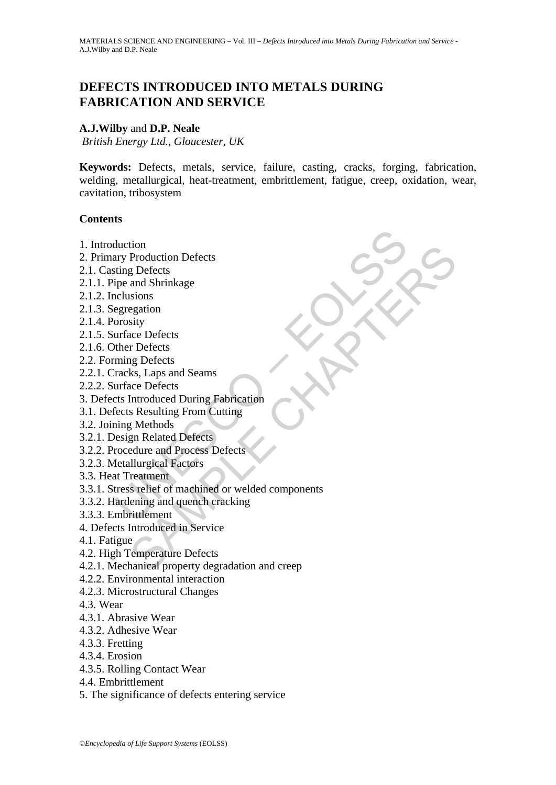# **DEFECTS INTRODUCED INTO METALS DURING FABRICATION AND SERVICE**

# **A.J.Wilby** and **D.P. Neale**

*British Energy Ltd., Gloucester, UK* 

**Keywords:** Defects, metals, service, failure, casting, cracks, forging, fabrication, welding, metallurgical, heat-treatment, embrittlement, fatigue, creep, oxidation, wear, cavitation, tribosystem

# **Contents**

- 1. Introduction
- 2. Primary Production Defects
- 2.1. Casting Defects
- 2.1.1. Pipe and Shrinkage
- 2.1.2. Inclusions
- 2.1.3. Segregation
- 2.1.4. Porosity
- 2.1.5. Surface Defects
- 2.1.6. Other Defects
- 2.2. Forming Defects
- 2.2.1. Cracks, Laps and Seams
- 2.2.2. Surface Defects
- 3. Defects Introduced During Fabrication
- 3.1. Defects Resulting From Cutting
- 3.2. Joining Methods
- 3.2.1. Design Related Defects
- 3.2.2. Procedure and Process Defects
- 3.2.3. Metallurgical Factors
- 3.3. Heat Treatment
- duction<br>
Mary Production Defects<br>
ting Defects<br>
ign and Shrinkage<br>
relusions<br>
egregation<br>
urface Defects<br>
where Defects<br>
there Defects<br>
ming Defects<br>
ming Defects<br>
racks, Laps and Seams<br>
urface Defects<br>
racks, Laps and Sea ton<br>
Production Defects<br>
g Defects<br>
and Shrinkage<br>
egation<br>
egation<br>
sity<br>
acce Defects<br>
sky, Laps and Seams<br>
acce Defects<br>
ks, Laps and Seams<br>
acce Defects<br>
sky, Laps and Seams<br>
acce Defects<br>
sky Resulting From Cutting<br>
g 3.3.1. Stress relief of machined or welded components
- 3.3.2. Hardening and quench cracking
- 3.3.3. Embrittlement
- 4. Defects Introduced in Service
- 4.1. Fatigue
- 4.2. High Temperature Defects
- 4.2.1. Mechanical property degradation and creep
- 4.2.2. Environmental interaction
- 4.2.3. Microstructural Changes
- 4.3. Wear
- 4.3.1. Abrasive Wear
- 4.3.2. Adhesive Wear
- 4.3.3. Fretting
- 4.3.4. Erosion
- 4.3.5. Rolling Contact Wear
- 4.4. Embrittlement
- 5. The significance of defects entering service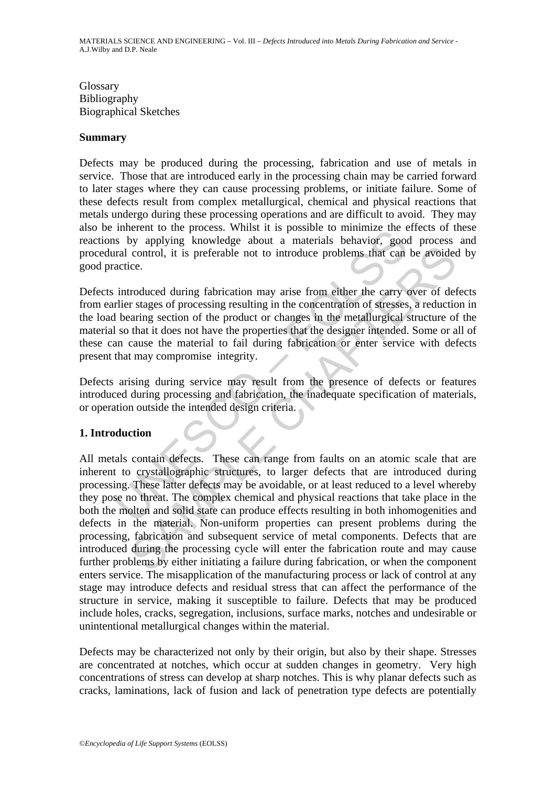Glossary Bibliography Biographical Sketches

### **Summary**

Defects may be produced during the processing, fabrication and use of metals in service. Those that are introduced early in the processing chain may be carried forward to later stages where they can cause processing problems, or initiate failure. Some of these defects result from complex metallurgical, chemical and physical reactions that metals undergo during these processing operations and are difficult to avoid. They may also be inherent to the process. Whilst it is possible to minimize the effects of these reactions by applying knowledge about a materials behavior, good process and procedural control, it is preferable not to introduce problems that can be avoided by good practice.

minimize the business. While a the spossible to mimize the minimize the minimize the spoke of minimize the spoke of minimize the spoke of the product a materials behavior, good are related control, it is preferable not to Defects introduced during fabrication may arise from either the carry over of defects from earlier stages of processing resulting in the concentration of stresses, a reduction in the load bearing section of the product or changes in the metallurgical structure of the material so that it does not have the properties that the designer intended. Some or all of these can cause the material to fail during fabrication or enter service with defects present that may compromise integrity.

Defects arising during service may result from the presence of defects or features introduced during processing and fabrication, the inadequate specification of materials, or operation outside the intended design criteria.

# **1. Introduction**

Control, it is preferable not to introduce problems that can be avoided<br>control, it is preferable not to introduce problems that can be avoided<br>ce.<br>Troduced during fabrication may arise from either the carry over of def<br>r All metals contain defects. These can range from faults on an atomic scale that are inherent to crystallographic structures, to larger defects that are introduced during processing. These latter defects may be avoidable, or at least reduced to a level whereby they pose no threat. The complex chemical and physical reactions that take place in the both the molten and solid state can produce effects resulting in both inhomogenities and defects in the material. Non-uniform properties can present problems during the processing, fabrication and subsequent service of metal components. Defects that are introduced during the processing cycle will enter the fabrication route and may cause further problems by either initiating a failure during fabrication, or when the component enters service. The misapplication of the manufacturing process or lack of control at any stage may introduce defects and residual stress that can affect the performance of the structure in service, making it susceptible to failure. Defects that may be produced include holes, cracks, segregation, inclusions, surface marks, notches and undesirable or unintentional metallurgical changes within the material.

Defects may be characterized not only by their origin, but also by their shape. Stresses are concentrated at notches, which occur at sudden changes in geometry. Very high concentrations of stress can develop at sharp notches. This is why planar defects such as cracks, laminations, lack of fusion and lack of penetration type defects are potentially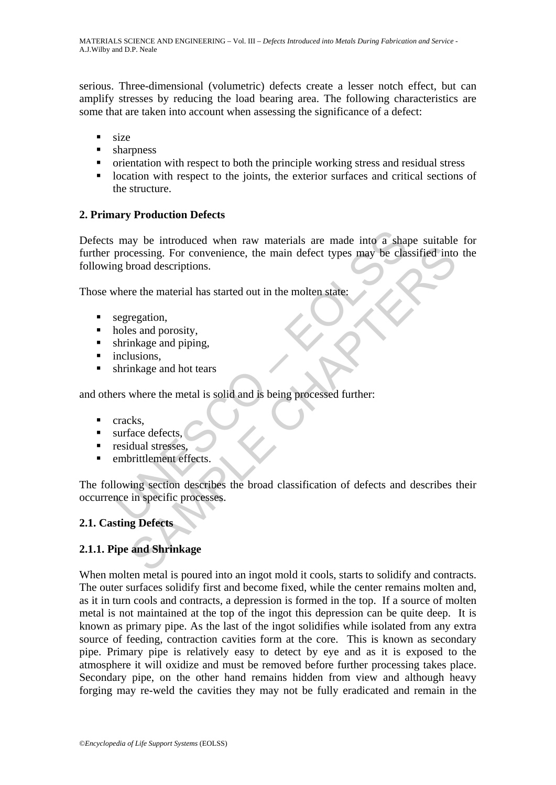serious. Three-dimensional (volumetric) defects create a lesser notch effect, but can amplify stresses by reducing the load bearing area. The following characteristics are some that are taken into account when assessing the significance of a defect:

- size
- **sharpness**
- orientation with respect to both the principle working stress and residual stress
- **IDED** location with respect to the joints, the exterior surfaces and critical sections of the structure.

# **2. Primary Production Defects**

may be introduced when raw materials are made into a shapprocessing. For convenience, the main defect types may be clase<br>the processing. For convenience, the main defect types may be clase<br>there the material has started ou consisting. For convenience, the main defect types may be classified into<br>product descriptions.<br>The the material has started out in the molten state:<br>regation,<br>reses and providity,<br>in hage and piping,<br>lusions,<br>where the me Defects may be introduced when raw materials are made into a shape suitable for further processing. For convenience, the main defect types may be classified into the following broad descriptions.

Those where the material has started out in the molten state:

- segregation,
- holes and porosity,
- shrinkage and piping,
- nelusions.
- **shrinkage and hot tears**

and others where the metal is solid and is being processed further:

- $rac{1}{\pi}$  cracks.
- urface defects,
- **residual stresses.**
- embrittlement effects.

The following section describes the broad classification of defects and describes their occurrence in specific processes.

# **2.1. Casting Defects**

# **2.1.1. Pipe and Shrinkage**

When molten metal is poured into an ingot mold it cools, starts to solidify and contracts. The outer surfaces solidify first and become fixed, while the center remains molten and, as it in turn cools and contracts, a depression is formed in the top. If a source of molten metal is not maintained at the top of the ingot this depression can be quite deep. It is known as primary pipe. As the last of the ingot solidifies while isolated from any extra source of feeding, contraction cavities form at the core. This is known as secondary pipe. Primary pipe is relatively easy to detect by eye and as it is exposed to the atmosphere it will oxidize and must be removed before further processing takes place. Secondary pipe, on the other hand remains hidden from view and although heavy forging may re-weld the cavities they may not be fully eradicated and remain in the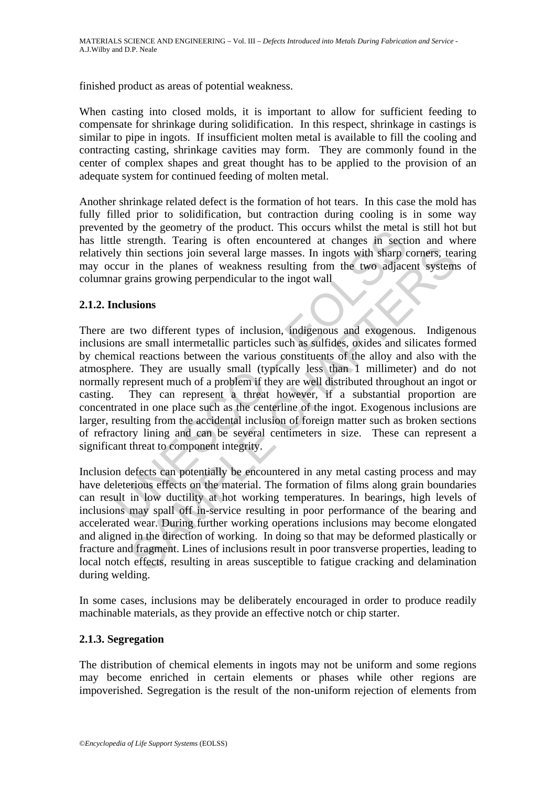finished product as areas of potential weakness.

When casting into closed molds, it is important to allow for sufficient feeding to compensate for shrinkage during solidification. In this respect, shrinkage in castings is similar to pipe in ingots. If insufficient molten metal is available to fill the cooling and contracting casting, shrinkage cavities may form. They are commonly found in the center of complex shapes and great thought has to be applied to the provision of an adequate system for continued feeding of molten metal.

Another shrinkage related defect is the formation of hot tears. In this case the mold has fully filled prior to solidification, but contraction during cooling is in some way prevented by the geometry of the product. This occurs whilst the metal is still hot but has little strength. Tearing is often encountered at changes in section and where relatively thin sections join several large masses. In ingots with sharp corners, tearing may occur in the planes of weakness resulting from the two adjacent systems of columnar grains growing perpendicular to the ingot wall

# **2.1.2. Inclusions**

Eventry of the product. This occusions whist the lietaring is often encountered at changes in sectify thin sections join several large masses. In ingots with sharp court in the planes of weakness resulting from the two adj In sections join several large masses. In ingots with sharp compers, teaming thin sections join several large masses. In ingots with sharp compers, teaming rowing perpendicular to the ingot wall the two adjacent system rai There are two different types of inclusion, indigenous and exogenous. Indigenous inclusions are small intermetallic particles such as sulfides, oxides and silicates formed by chemical reactions between the various constituents of the alloy and also with the atmosphere. They are usually small (typically less than 1 millimeter) and do not normally represent much of a problem if they are well distributed throughout an ingot or casting. They can represent a threat however, if a substantial proportion are concentrated in one place such as the centerline of the ingot. Exogenous inclusions are larger, resulting from the accidental inclusion of foreign matter such as broken sections of refractory lining and can be several centimeters in size. These can represent a significant threat to component integrity.

Inclusion defects can potentially be encountered in any metal casting process and may have deleterious effects on the material. The formation of films along grain boundaries can result in low ductility at hot working temperatures. In bearings, high levels of inclusions may spall off in-service resulting in poor performance of the bearing and accelerated wear. During further working operations inclusions may become elongated and aligned in the direction of working. In doing so that may be deformed plastically or fracture and fragment. Lines of inclusions result in poor transverse properties, leading to local notch effects, resulting in areas susceptible to fatigue cracking and delamination during welding.

In some cases, inclusions may be deliberately encouraged in order to produce readily machinable materials, as they provide an effective notch or chip starter.

#### **2.1.3. Segregation**

The distribution of chemical elements in ingots may not be uniform and some regions may become enriched in certain elements or phases while other regions are impoverished. Segregation is the result of the non-uniform rejection of elements from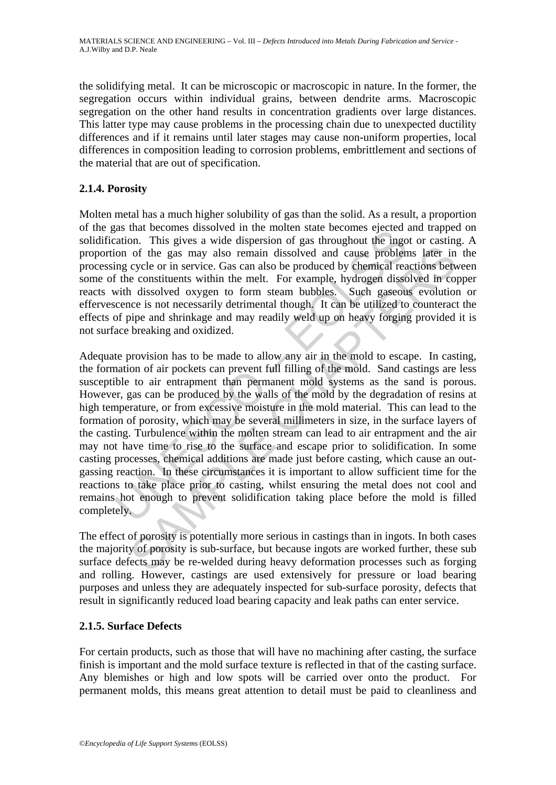the solidifying metal. It can be microscopic or macroscopic in nature. In the former, the segregation occurs within individual grains, between dendrite arms. Macroscopic segregation on the other hand results in concentration gradients over large distances. This latter type may cause problems in the processing chain due to unexpected ductility differences and if it remains until later stages may cause non-uniform properties, local differences in composition leading to corrosion problems, embrittlement and sections of the material that are out of specification.

# **2.1.4. Porosity**

Molten metal has a much higher solubility of gas than the solid. As a result, a proportion of the gas that becomes dissolved in the molten state becomes ejected and trapped on solidification. This gives a wide dispersion of gas throughout the ingot or casting. A proportion of the gas may also remain dissolved and cause problems later in the processing cycle or in service. Gas can also be produced by chemical reactions between some of the constituents within the melt. For example, hydrogen dissolved in copper reacts with dissolved oxygen to form steam bubbles. Such gaseous evolution or effervescence is not necessarily detrimental though. It can be utilized to counteract the effects of pipe and shrinkage and may readily weld up on heavy forging provided it is not surface breaking and oxidized.

as una eccolones unssolved in the indicate in the care becomes ejected ation. This gives a wide dispersion of gas throughout the ingo ion of the gas may also remain dissolved and cause problem ing cycle or in service. Gas of the gas may also remain dissolved and cause problems later in cycle or in service. Gas can also be produced by chemical reactions between constituents within the melt. For example, hydrogen dissolved in constructions wi Adequate provision has to be made to allow any air in the mold to escape. In casting, the formation of air pockets can prevent full filling of the mold. Sand castings are less susceptible to air entrapment than permanent mold systems as the sand is porous. However, gas can be produced by the walls of the mold by the degradation of resins at high temperature, or from excessive moisture in the mold material. This can lead to the formation of porosity, which may be several millimeters in size, in the surface layers of the casting. Turbulence within the molten stream can lead to air entrapment and the air may not have time to rise to the surface and escape prior to solidification. In some casting processes, chemical additions are made just before casting, which cause an outgassing reaction. In these circumstances it is important to allow sufficient time for the reactions to take place prior to casting, whilst ensuring the metal does not cool and remains hot enough to prevent solidification taking place before the mold is filled completely.

The effect of porosity is potentially more serious in castings than in ingots. In both cases the majority of porosity is sub-surface, but because ingots are worked further, these sub surface defects may be re-welded during heavy deformation processes such as forging and rolling. However, castings are used extensively for pressure or load bearing purposes and unless they are adequately inspected for sub-surface porosity, defects that result in significantly reduced load bearing capacity and leak paths can enter service.

# **2.1.5. Surface Defects**

For certain products, such as those that will have no machining after casting, the surface finish is important and the mold surface texture is reflected in that of the casting surface. Any blemishes or high and low spots will be carried over onto the product. For permanent molds, this means great attention to detail must be paid to cleanliness and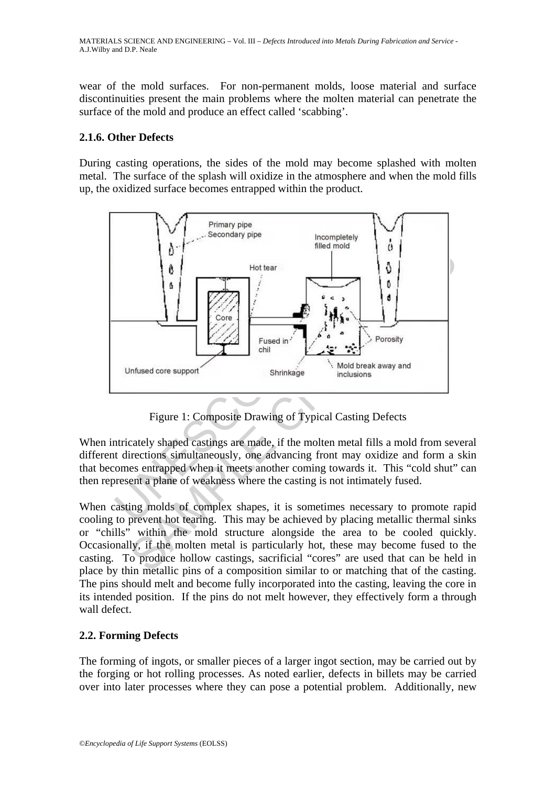wear of the mold surfaces. For non-permanent molds, loose material and surface discontinuities present the main problems where the molten material can penetrate the surface of the mold and produce an effect called 'scabbing'.

### **2.1.6. Other Defects**

During casting operations, the sides of the mold may become splashed with molten metal. The surface of the splash will oxidize in the atmosphere and when the mold fills up, the oxidized surface becomes entrapped within the product.



Figure 1: Composite Drawing of Typical Casting Defects

When intricately shaped castings are made, if the molten metal fills a mold from several different directions simultaneously, one advancing front may oxidize and form a skin that becomes entrapped when it meets another coming towards it. This "cold shut" can then represent a plane of weakness where the casting is not intimately fused.

When casting molds of complex shapes, it is sometimes necessary to promote rapid cooling to prevent hot tearing. This may be achieved by placing metallic thermal sinks or "chills" within the mold structure alongside the area to be cooled quickly. Occasionally, if the molten metal is particularly hot, these may become fused to the casting. To produce hollow castings, sacrificial "cores" are used that can be held in place by thin metallic pins of a composition similar to or matching that of the casting. The pins should melt and become fully incorporated into the casting, leaving the core in its intended position. If the pins do not melt however, they effectively form a through wall defect.

# **2.2. Forming Defects**

The forming of ingots, or smaller pieces of a larger ingot section, may be carried out by the forging or hot rolling processes. As noted earlier, defects in billets may be carried over into later processes where they can pose a potential problem. Additionally, new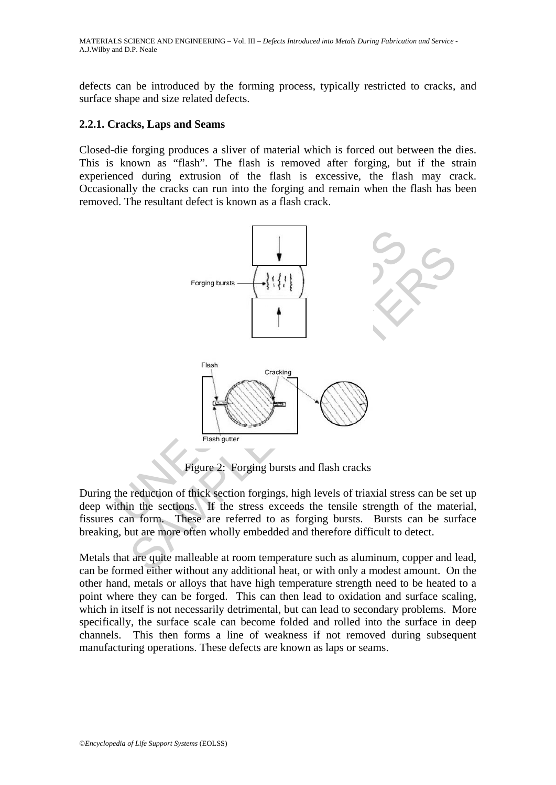defects can be introduced by the forming process, typically restricted to cracks, and surface shape and size related defects.

### **2.2.1. Cracks, Laps and Seams**

Closed-die forging produces a sliver of material which is forced out between the dies. This is known as "flash". The flash is removed after forging, but if the strain experienced during extrusion of the flash is excessive, the flash may crack. Occasionally the cracks can run into the forging and remain when the flash has been removed. The resultant defect is known as a flash crack.



Figure 2: Forging bursts and flash cracks

During the reduction of thick section forgings, high levels of triaxial stress can be set up deep within the sections. If the stress exceeds the tensile strength of the material, fissures can form. These are referred to as forging bursts. Bursts can be surface breaking, but are more often wholly embedded and therefore difficult to detect.

Metals that are quite malleable at room temperature such as aluminum, copper and lead, can be formed either without any additional heat, or with only a modest amount. On the other hand, metals or alloys that have high temperature strength need to be heated to a point where they can be forged. This can then lead to oxidation and surface scaling, which in itself is not necessarily detrimental, but can lead to secondary problems. More specifically, the surface scale can become folded and rolled into the surface in deep channels. This then forms a line of weakness if not removed during subsequent manufacturing operations. These defects are known as laps or seams.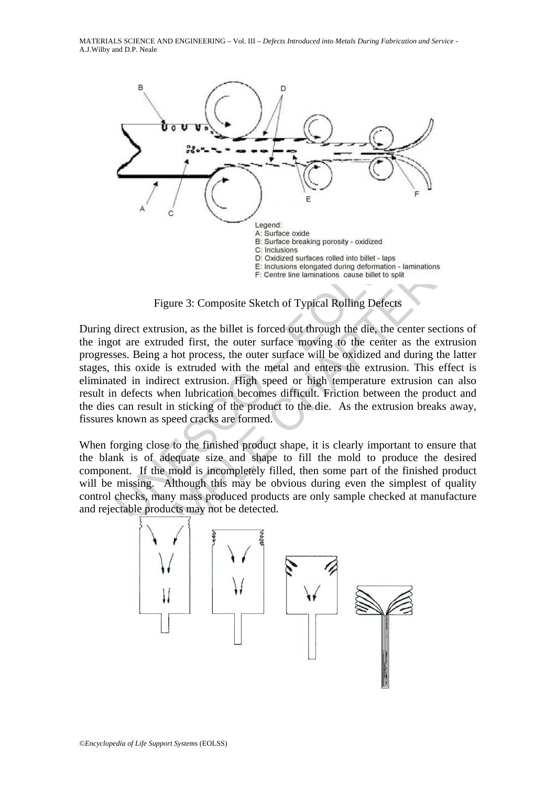

Figure 3: Composite Sketch of Typical Rolling Defects

A source oxide<br>
B. Surface breaking porosity - oxidized<br>
B. Surface breaking porosity - oxidized<br>
C: Inclusions urbaces rolled into billet - laps<br>
E: Inclusions elongated during deformation - la<br>
E: Inclusions elongated d Chassion and the method in the method in the set in the set in the set in the set in the set in the set in the set in the set in the set in the set in the set in the set in the set in the set in the set is centre in the se During direct extrusion, as the billet is forced out through the die, the center sections of the ingot are extruded first, the outer surface moving to the center as the extrusion progresses. Being a hot process, the outer surface will be oxidized and during the latter stages, this oxide is extruded with the metal and enters the extrusion. This effect is eliminated in indirect extrusion. High speed or high temperature extrusion can also result in defects when lubrication becomes difficult. Friction between the product and the dies can result in sticking of the product to the die. As the extrusion breaks away, fissures known as speed cracks are formed.

When forging close to the finished product shape, it is clearly important to ensure that the blank is of adequate size and shape to fill the mold to produce the desired component. If the mold is incompletely filled, then some part of the finished product will be missing. Although this may be obvious during even the simplest of quality control checks, many mass produced products are only sample checked at manufacture and rejectable products may not be detected.

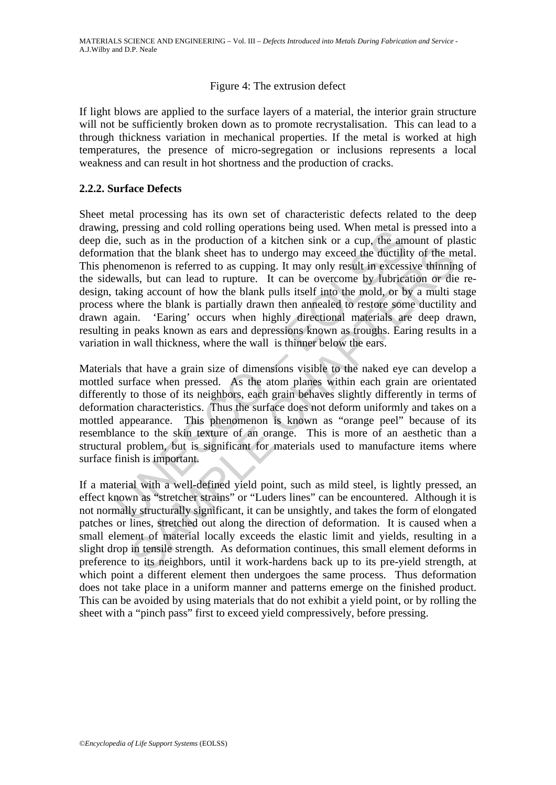### Figure 4: The extrusion defect

If light blows are applied to the surface layers of a material, the interior grain structure will not be sufficiently broken down as to promote recrystalisation. This can lead to a through thickness variation in mechanical properties. If the metal is worked at high temperatures, the presence of micro-segregation or inclusions represents a local weakness and can result in hot shortness and the production of cracks.

### **2.2.2. Surface Defects**

(see that in the band controlling operators being used. When linear is<br>e, e, such as in the production of a kitchen sink or a cup, the am<br>ation that the blank sheet has to undergo may exceed the ductilit<br>enomenon is referr In that the blank sheet has to undergo may exceed the ductility of the m<br>menon is referred to as cupping. It may only result in excessive thinning<br>lls, but can lead to rupture. It can be overcome by lubrication or die<br>ing Sheet metal processing has its own set of characteristic defects related to the deep drawing, pressing and cold rolling operations being used. When metal is pressed into a deep die, such as in the production of a kitchen sink or a cup, the amount of plastic deformation that the blank sheet has to undergo may exceed the ductility of the metal. This phenomenon is referred to as cupping. It may only result in excessive thinning of the sidewalls, but can lead to rupture. It can be overcome by lubrication or die redesign, taking account of how the blank pulls itself into the mold, or by a multi stage process where the blank is partially drawn then annealed to restore some ductility and drawn again. 'Earing' occurs when highly directional materials are deep drawn, resulting in peaks known as ears and depressions known as troughs. Earing results in a variation in wall thickness, where the wall is thinner below the ears.

Materials that have a grain size of dimensions visible to the naked eye can develop a mottled surface when pressed. As the atom planes within each grain are orientated differently to those of its neighbors, each grain behaves slightly differently in terms of deformation characteristics. Thus the surface does not deform uniformly and takes on a mottled appearance. This phenomenon is known as "orange peel" because of its resemblance to the skin texture of an orange. This is more of an aesthetic than a structural problem, but is significant for materials used to manufacture items where surface finish is important.

If a material with a well-defined yield point, such as mild steel, is lightly pressed, an effect known as "stretcher strains" or "Luders lines" can be encountered. Although it is not normally structurally significant, it can be unsightly, and takes the form of elongated patches or lines, stretched out along the direction of deformation. It is caused when a small element of material locally exceeds the elastic limit and yields, resulting in a slight drop in tensile strength. As deformation continues, this small element deforms in preference to its neighbors, until it work-hardens back up to its pre-yield strength, at which point a different element then undergoes the same process. Thus deformation does not take place in a uniform manner and patterns emerge on the finished product. This can be avoided by using materials that do not exhibit a yield point, or by rolling the sheet with a "pinch pass" first to exceed yield compressively, before pressing.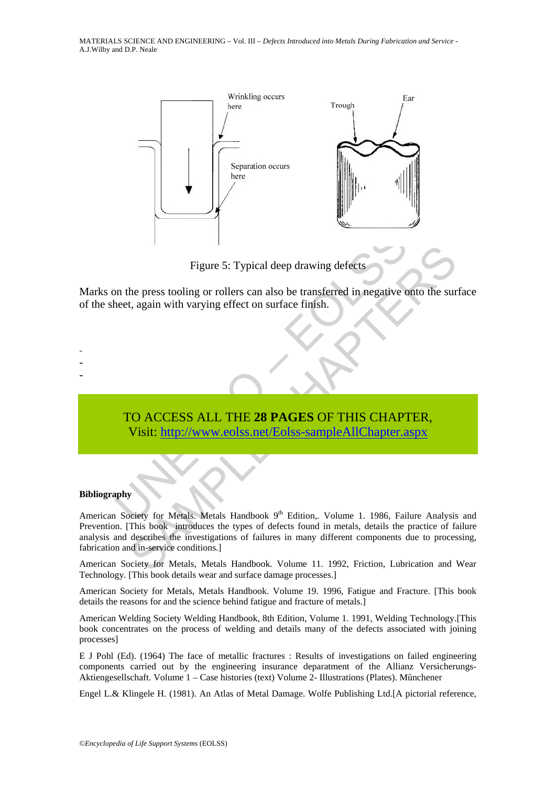

Figure 5: Typical deep drawing defects

Marks on the press tooling or rollers can also be transferred in negative onto the surface of the sheet, again with varying effect on surface finish.

# Figure 5: Typical deep drawing defects<br>
in the press tooling or rollers can also be transferred in negative<br>
heet, again with varying effect on surface finish.<br>
TO ACCESS ALL THE 28 PAGES OF THIS CHAPT<br>
Visit: http://www.c TO ACCESS ALL THE **28 PAGES** OF THIS CHAPTER, Visit: http://www.eolss.net/Eolss-sampleAllChapter.aspx

#### **Bibliography**

- - -

Figure 5: Typical deep drawing defects<br>
the press tooling or rollers can also be transferred in negative onto the sur<br>
t, again with varying effect on surface finish.<br>
CO ACCESS ALL THE 28 PAGES OF THIS CHAPTER,<br>
Visit: ht American Society for Metals. Metals Handbook 9<sup>th</sup> Edition,. Volume 1. 1986, Failure Analysis and Prevention. [This book introduces the types of defects found in metals, details the practice of failure analysis and describes the investigations of failures in many different components due to processing, fabrication and in-service conditions.]

American Society for Metals, Metals Handbook. Volume 11. 1992, Friction, Lubrication and Wear Technology. [This book details wear and surface damage processes.]

American Society for Metals, Metals Handbook. Volume 19. 1996, Fatigue and Fracture. [This book details the reasons for and the science behind fatigue and fracture of metals.]

American Welding Society Welding Handbook, 8th Edition, Volume 1. 1991, Welding Technology.[This book concentrates on the process of welding and details many of the defects associated with joining processes]

E J Pohl (Ed). (1964) The face of metallic fractures : Results of investigations on failed engineering components carried out by the engineering insurance deparatment of the Allianz Versicherungs-Aktiengesellschaft. Volume 1 – Case histories (text) Volume 2- Illustrations (Plates). Műnchener

Engel L.& Klingele H. (1981). An Atlas of Metal Damage. Wolfe Publishing Ltd.[A pictorial reference,